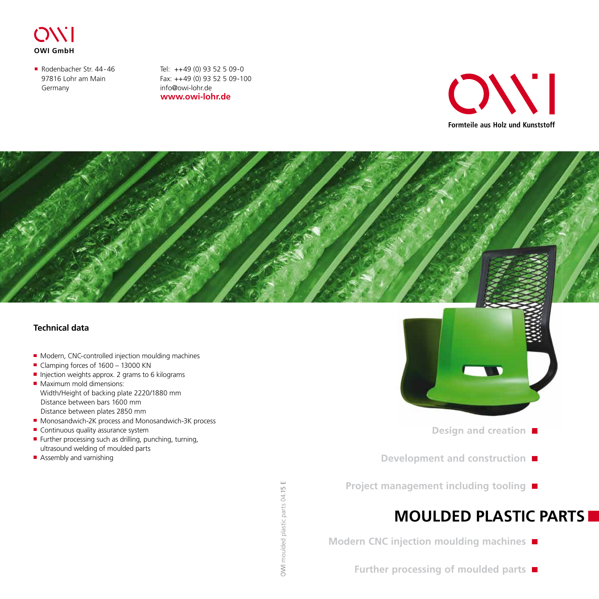

Rodenbacher Str. 44-46 97816 Lohr am Main Germany

**www.owi-lohr.de** Tel: ++49 (0) 93 52 5 09-0 Fax: ++49 (0) 93 52 5 09-100 info@owi-lohr.de





#### **Technical data**

- Modern, CNC-controlled injection moulding machines
- Clamping forces of 1600 13000 KN
- Injection weights approx. 2 grams to 6 kilograms
- **Maximum mold dimensions:** Width/Height of backing plate 2220/1880 mm Distance between bars 1600 mm Distance between plates 2850 mm
- Monosandwich-2K process and Monosandwich-3K process
- Continuous quality assurance system
- Further processing such as drilling, punching, turning, ultrasound welding of moulded parts
- Assembly and varnishing



- **Design and creation**
- **Development and construction**
- **Project management including tooling**

## **MOULDED PLASTIC PARTS**

- **Modern CNC injection moulding machines** 
	- **Further processing of moulded parts**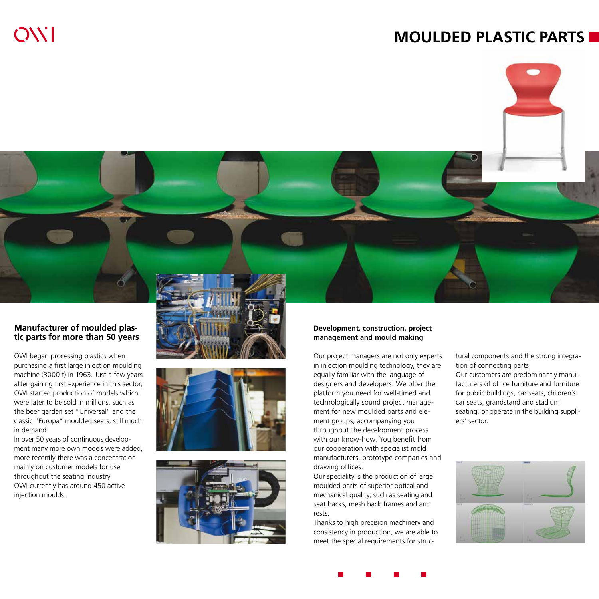## **MOULDED PLASTIC PARTS**





#### **Manufacturer of moulded plastic parts for more than 50 years**

OWI began processing plastics when purchasing a first large injection moulding machine (3000 t) in 1963. Just a few years after gaining first experience in this sector, OWI started production of models which were later to be sold in millions, such as the beer garden set "Universal" and the classic "Europa" moulded seats, still much in demand.

In over 50 years of continuous development many more own models were added, more recently there was a concentration mainly on customer models for use throughout the seating industry. OWI currently has around 450 active injection moulds.







#### **Development, construction, project management and mould making**

Our project managers are not only experts in injection moulding technology, they are equally familiar with the language of designers and developers. We offer the platform you need for well-timed and technologically sound project management for new moulded parts and element groups, accompanying you throughout the development process with our know-how. You benefit from our cooperation with specialist mold manufacturers, prototype companies and drawing offices.

Our speciality is the production of large moulded parts of superior optical and mechanical quality, such as seating and seat backs, mesh back frames and arm rests.

Thanks to high precision machinery and consistency in production, we are able to meet the special requirements for structural components and the strong integration of connecting parts. Our customers are predominantly manufacturers of office furniture and furniture for public buildings, car seats, children's car seats, grandstand and stadium seating, or operate in the building suppliers' sector.



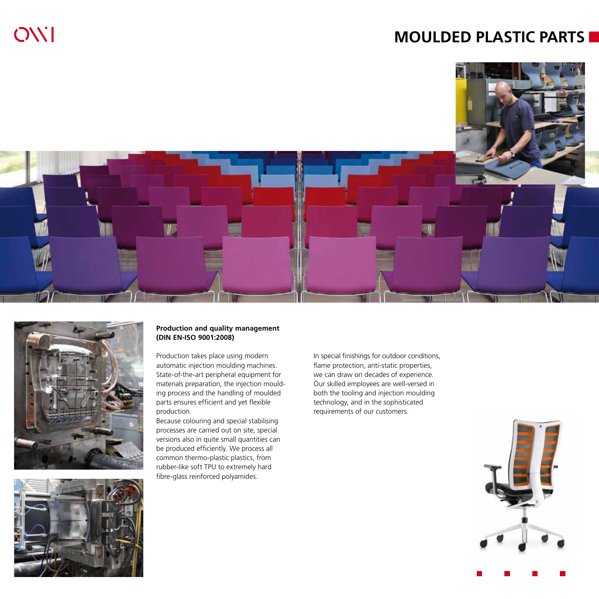## **MOULDED PLASTIC PARTS**





OWI



#### **Production and quality management (DIN EN-ISO 9001:2008)**

Production takes place using modern automatic injection moulding machines. State-of-the-art peripheral equipment for materials preparation, the injection moulding process and the handling of moulded parts ensures efficient and yet flexible production.

Because colouring and special stabilising processes are carried out on site, special versions also in quite small quantities can be produced efficiently. We process all common thermo-plastic plastics, from rubber-like soft TPU to extremely hard fibre-glass reinforced polyamides.

In special finishings for outdoor conditions, flame protection, anti-static properties, we can draw on decades of experience. Our skilled employees are well-versed in both the tooling and injection moulding technology, and in the sophisticated requirements of our customers.